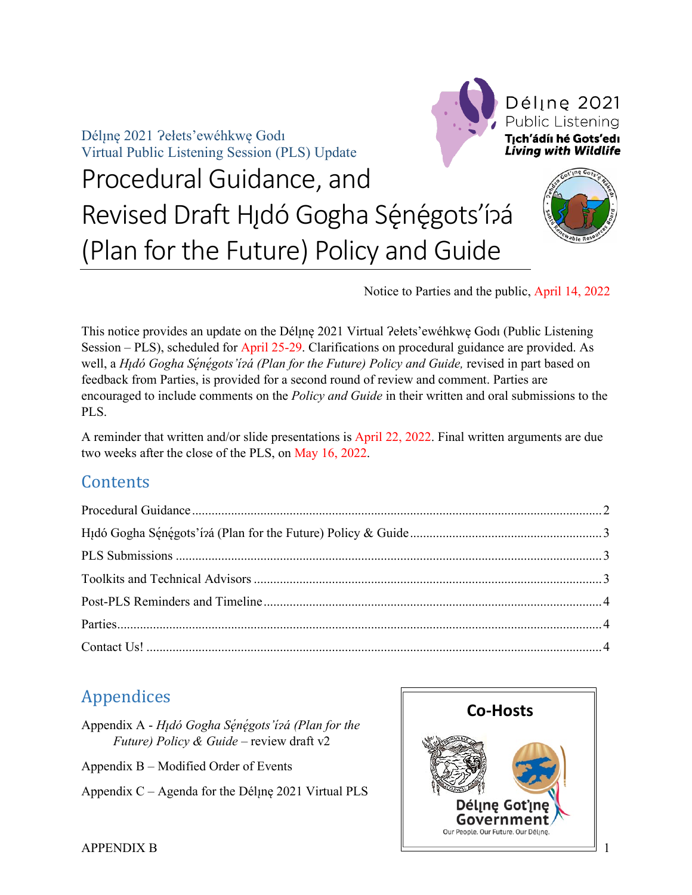Déline 2021 ?ełets'ewéhkwe Godi Virtual Public Listening Session (PLS) Update



# Procedural Guidance, and Revised Draft Hıdó Gogha Sę́nę́gots'í?á (Plan for the Future) Policy and Guide



Notice to Parties and the public, April 14, 2022

This notice provides an update on the Déline 2021 Virtual ?elets'ewéhkwe Godi (Public Listening Session – PLS), scheduled for April 25-29. Clarifications on procedural guidance are provided. As well, a *Hı̨dó Gogha Sę́ nę́ gots'ı́ ɂá (Plan for the Future) Policy and Guide,* revised in part based on feedback from Parties, is provided for a second round of review and comment. Parties are encouraged to include comments on the *Policy and Guide* in their written and oral submissions to the PLS.

A reminder that written and/or slide presentations is April 22, 2022. Final written arguments are due two weeks after the close of the PLS, on May 16, 2022.

### **Contents**

# Appendices

- Appendix A *Hı̨dó Gogha Sę́ nę́ gots'ı́ ɂá (Plan for the Future) Policy & Guide –* review draft v2
- Appendix B Modified Order of Events
- Appendix  $C A$ genda for the Dél $\mu$ ne 2021 Virtual PLS

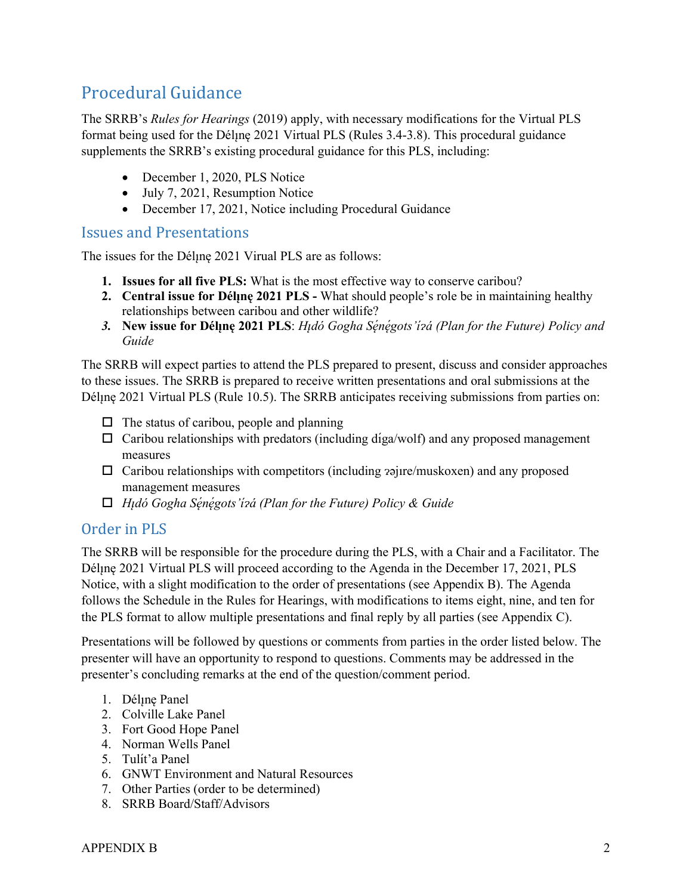# <span id="page-1-0"></span>Procedural Guidance

The SRRB's *Rules for Hearings* (2019) apply, with necessary modifications for the Virtual PLS format being used for the Dél<sub>l</sub>ne 2021 Virtual PLS (Rules 3.4-3.8). This procedural guidance supplements the SRRB's existing procedural guidance for this PLS, including:

- December 1, 2020, PLS Notice
- July 7, 2021, Resumption Notice
- December 17, 2021, Notice including Procedural Guidance

#### Issues and Presentations

The issues for the Déline 2021 Virual PLS are as follows:

- **1. Issues for all five PLS:** What is the most effective way to conserve caribou?
- **2. Central issue for Déline 2021 PLS -** What should people's role be in maintaining healthy relationships between caribou and other wildlife?
- *3.* **New issue for Délı̨nę 2021 PLS**: *Hı̨dó Gogha Sę́ nę́ gots'ı́ ɂá (Plan for the Future) Policy and Guide*

The SRRB will expect parties to attend the PLS prepared to present, discuss and consider approaches to these issues. The SRRB is prepared to receive written presentations and oral submissions at the Dél<sub>l</sub>ne 2021 Virtual PLS (Rule 10.5). The SRRB anticipates receiving submissions from parties on:

- $\Box$  The status of caribou, people and planning
- $\Box$  Caribou relationships with predators (including díga/wolf) and any proposed management measures
- $\Box$  Caribou relationships with competitors (including  $\alpha$ ajire/muskoxen) and any proposed management measures
- *Hı̨dó Gogha Sę́ nę́ gots'ı́ ɂá (Plan for the Future) Policy & Guide*

#### Order in PLS

The SRRB will be responsible for the procedure during the PLS, with a Chair and a Facilitator. The Dél<sub>l</sub>ne 2021 Virtual PLS will proceed according to the Agenda in the December 17, 2021, PLS Notice, with a slight modification to the order of presentations (see Appendix B). The Agenda follows the Schedule in the Rules for Hearings, with modifications to items eight, nine, and ten for the PLS format to allow multiple presentations and final reply by all parties (see Appendix C).

Presentations will be followed by questions or comments from parties in the order listed below. The presenter will have an opportunity to respond to questions. Comments may be addressed in the presenter's concluding remarks at the end of the question/comment period.

- 1. Déline Panel
- 2. Colville Lake Panel
- 3. Fort Good Hope Panel
- 4. Norman Wells Panel
- 5. Tulít'a Panel
- 6. GNWT Environment and Natural Resources
- 7. Other Parties (order to be determined)
- 8. SRRB Board/Staff/Advisors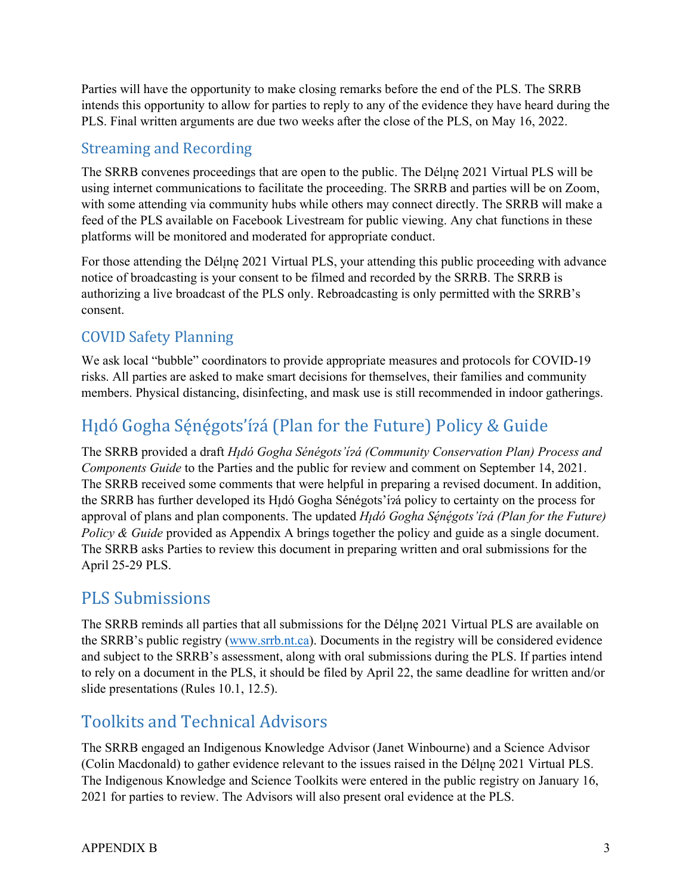Parties will have the opportunity to make closing remarks before the end of the PLS. The SRRB intends this opportunity to allow for parties to reply to any of the evidence they have heard during the PLS. Final written arguments are due two weeks after the close of the PLS, on May 16, 2022.

### Streaming and Recording

The SRRB convenes proceedings that are open to the public. The Dél<sub>l</sub>ine 2021 Virtual PLS will be using internet communications to facilitate the proceeding. The SRRB and parties will be on Zoom, with some attending via community hubs while others may connect directly. The SRRB will make a feed of the PLS available on Facebook Livestream for public viewing. Any chat functions in these platforms will be monitored and moderated for appropriate conduct.

For those attending the Dél<sub>l</sub>ne 2021 Virtual PLS, your attending this public proceeding with advance notice of broadcasting is your consent to be filmed and recorded by the SRRB. The SRRB is authorizing a live broadcast of the PLS only. Rebroadcasting is only permitted with the SRRB's consent.

## COVID Safety Planning

We ask local "bubble" coordinators to provide appropriate measures and protocols for COVID-19 risks. All parties are asked to make smart decisions for themselves, their families and community members. Physical distancing, disinfecting, and mask use is still recommended in indoor gatherings.

# <span id="page-2-0"></span>Hıdó Gogha Sénégots'ízá (Plan for the Future) Policy & Guide

The SRRB provided a draft *Hı̨dó Gogha Sénégots'ı́ ɂá (Community Conservation Plan) Process and Components Guide* to the Parties and the public for review and comment on September 14, 2021. The SRRB received some comments that were helpful in preparing a revised document. In addition, the SRRB has further developed its Hı̨dó Gogha Sénégots'ı́ ɂá policy to certainty on the process for approval of plans and plan components. The updated *Hı̨dó Gogha Sę́ nę́ gots'ı́ ɂá (Plan for the Future) Policy & Guide* provided as Appendix A brings together the policy and guide as a single document. The SRRB asks Parties to review this document in preparing written and oral submissions for the April 25-29 PLS.

# <span id="page-2-1"></span>PLS Submissions

The SRRB reminds all parties that all submissions for the Dél<sub>i</sub>ne 2021 Virtual PLS are available on the SRRB's public registry [\(www.srrb.nt.ca\)](http://www.srrb.nt.ca/). Documents in the registry will be considered evidence and subject to the SRRB's assessment, along with oral submissions during the PLS. If parties intend to rely on a document in the PLS, it should be filed by April 22, the same deadline for written and/or slide presentations (Rules 10.1, 12.5).

# <span id="page-2-2"></span>Toolkits and Technical Advisors

The SRRB engaged an Indigenous Knowledge Advisor (Janet Winbourne) and a Science Advisor (Colin Macdonald) to gather evidence relevant to the issues raised in the Dél<sub>l</sub>ne 2021 Virtual PLS. The Indigenous Knowledge and Science Toolkits were entered in the public registry on January 16, 2021 for parties to review. The Advisors will also present oral evidence at the PLS.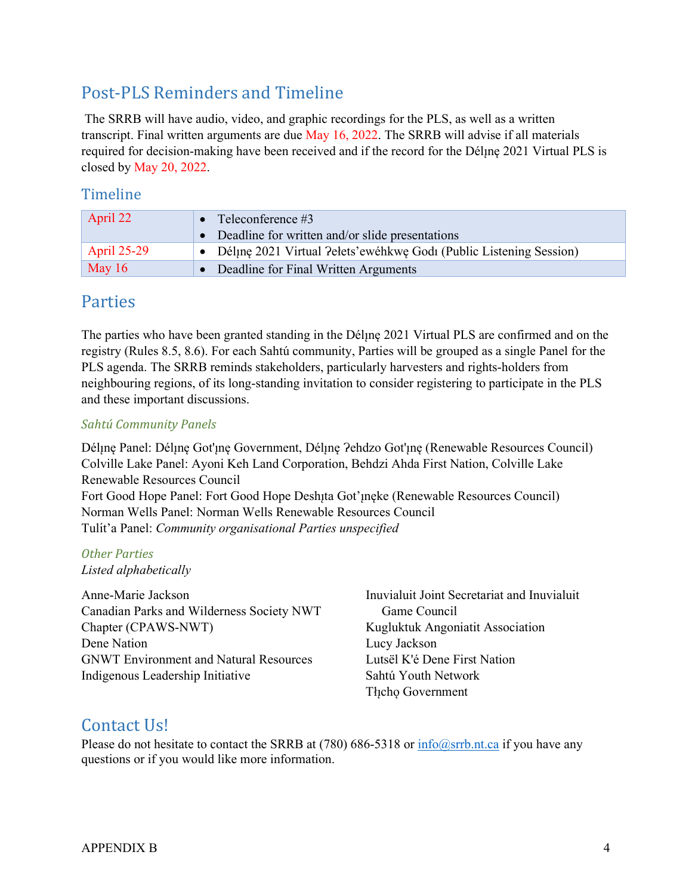# <span id="page-3-0"></span>Post-PLS Reminders and Timeline

The SRRB will have audio, video, and graphic recordings for the PLS, as well as a written transcript. Final written arguments are due May 16, 2022. The SRRB will advise if all materials required for decision-making have been received and if the record for the Déline 2021 Virtual PLS is closed by May 20, 2022.

#### Timeline

| April 22           | • Teleconference $#3$                                                |
|--------------------|----------------------------------------------------------------------|
|                    | • Deadline for written and/or slide presentations                    |
| <b>April 25-29</b> | • Déline 2021 Virtual Pelets'ewéhkwe Godi (Public Listening Session) |
| May $16$           | • Deadline for Final Written Arguments                               |

### <span id="page-3-1"></span>Parties

The parties who have been granted standing in the Dél<sub>l</sub>ne 2021 Virtual PLS are confirmed and on the registry (Rules 8.5, 8.6). For each Sahtú community, Parties will be grouped as a single Panel for the PLS agenda. The SRRB reminds stakeholders, particularly harvesters and rights-holders from neighbouring regions, of its long-standing invitation to consider registering to participate in the PLS and these important discussions.

#### *Sahtú Community Panels*

Dél<sub>i</sub>ne Panel: Déline Got'ine Government, Déline ?ehdzo Got'ine (Renewable Resources Council) Colville Lake Panel: Ayoni Keh Land Corporation, Behdzi Ahda First Nation, Colville Lake Renewable Resources Council Fort Good Hope Panel: Fort Good Hope Deshita Got'ineke (Renewable Resources Council) Norman Wells Panel: Norman Wells Renewable Resources Council Tulı́ t'a Panel: *Community organisational Parties unspecified*

### *Other Parties*

*Listed alphabetically*

Anne-Marie Jackson Canadian Parks and Wilderness Society NWT Chapter (CPAWS-NWT) Dene Nation GNWT Environment and Natural Resources Indigenous Leadership Initiative

Inuvialuit Joint Secretariat and Inuvialuit Game Council Kugluktuk Angoniatit Association Lucy Jackson Lutsël K'é Dene First Nation Sahtú Youth Network Tłıcho Government

### <span id="page-3-2"></span>Contact Us!

Please do not hesitate to contact the SRRB at (780) 686-5318 or  $info@srrb.n.t.ca$  if you have any questions or if you would like more information.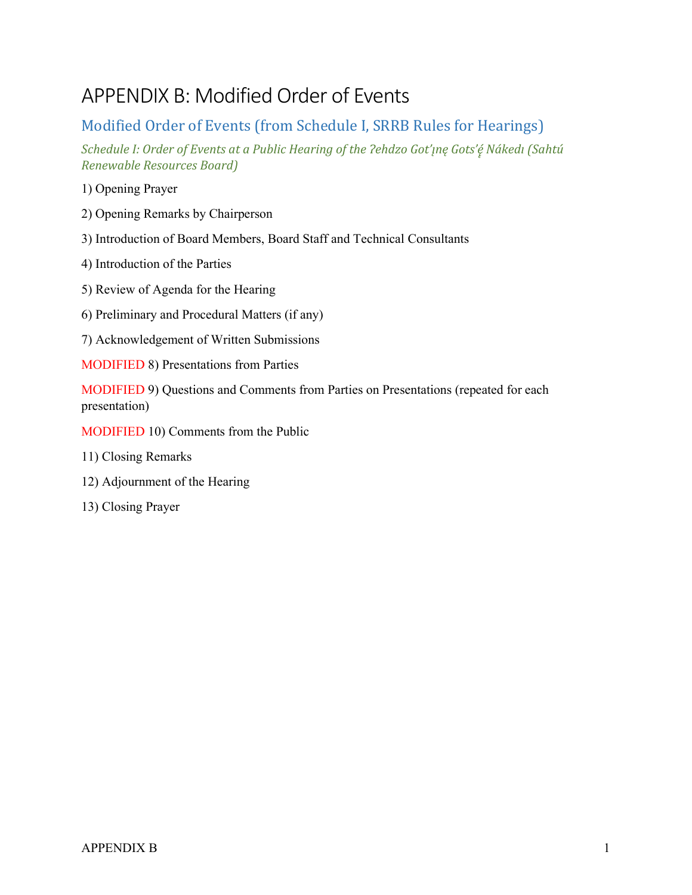# APPENDIX B: Modified Order of Events

### Modified Order of Events (from Schedule I, SRRB Rules for Hearings)

*Schedule I: Order of Events at a Public Hearing of the Ɂehdzo Got'ı̨nę Gots'ę̨ ́Nákedı (Sahtú Renewable Resources Board)*

1) Opening Prayer

- 2) Opening Remarks by Chairperson
- 3) Introduction of Board Members, Board Staff and Technical Consultants
- 4) Introduction of the Parties
- 5) Review of Agenda for the Hearing
- 6) Preliminary and Procedural Matters (if any)
- 7) Acknowledgement of Written Submissions
- MODIFIED 8) Presentations from Parties

MODIFIED 9) Questions and Comments from Parties on Presentations (repeated for each presentation)

- MODIFIED 10) Comments from the Public
- 11) Closing Remarks
- 12) Adjournment of the Hearing
- 13) Closing Prayer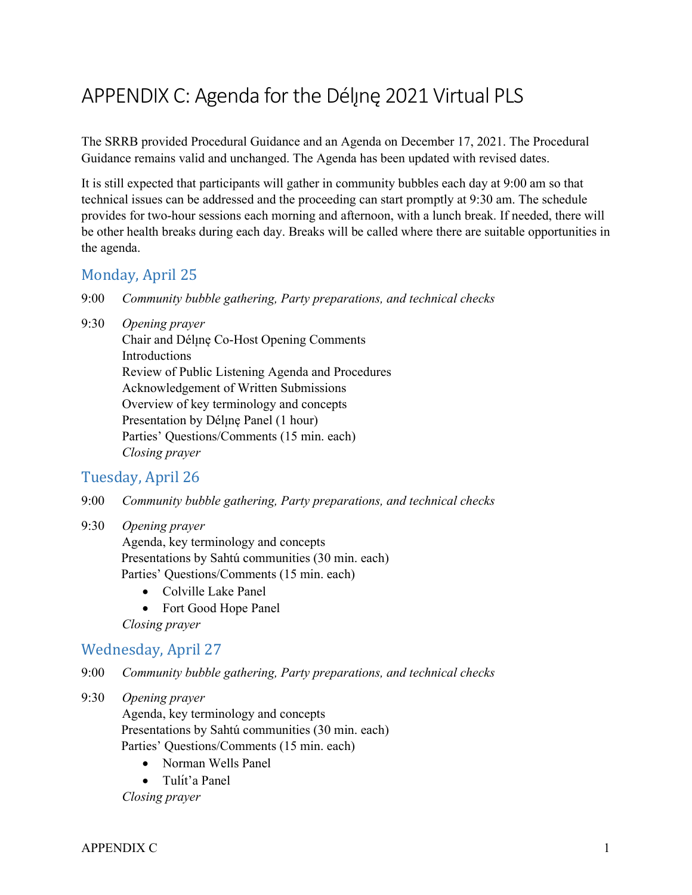# APPENDIX C: Agenda for the Déline 2021 Virtual PLS

The SRRB provided Procedural Guidance and an Agenda on December 17, 2021. The Procedural Guidance remains valid and unchanged. The Agenda has been updated with revised dates.

It is still expected that participants will gather in community bubbles each day at 9:00 am so that technical issues can be addressed and the proceeding can start promptly at 9:30 am. The schedule provides for two-hour sessions each morning and afternoon, with a lunch break. If needed, there will be other health breaks during each day. Breaks will be called where there are suitable opportunities in the agenda.

#### Monday, April 25

- 9:00 *Community bubble gathering, Party preparations, and technical checks*
- 9:30 *Opening prayer*

Chair and Délune Co-Host Opening Comments Introductions Review of Public Listening Agenda and Procedures Acknowledgement of Written Submissions Overview of key terminology and concepts Presentation by Déline Panel (1 hour) Parties' Questions/Comments (15 min. each) *Closing prayer*

#### Tuesday, April 26

- 9:00 *Community bubble gathering, Party preparations, and technical checks*
- 9:30 *Opening prayer*

Agenda, key terminology and concepts Presentations by Sahtú communities (30 min. each) Parties' Questions/Comments (15 min. each)

- Colville Lake Panel
- Fort Good Hope Panel

*Closing prayer*

#### Wednesday, April 27

9:00 *Community bubble gathering, Party preparations, and technical checks*

#### 9:30 *Opening prayer*

Agenda, key terminology and concepts Presentations by Sahtú communities (30 min. each) Parties' Questions/Comments (15 min. each)

- Norman Wells Panel
- Tulít'a Panel

*Closing prayer*